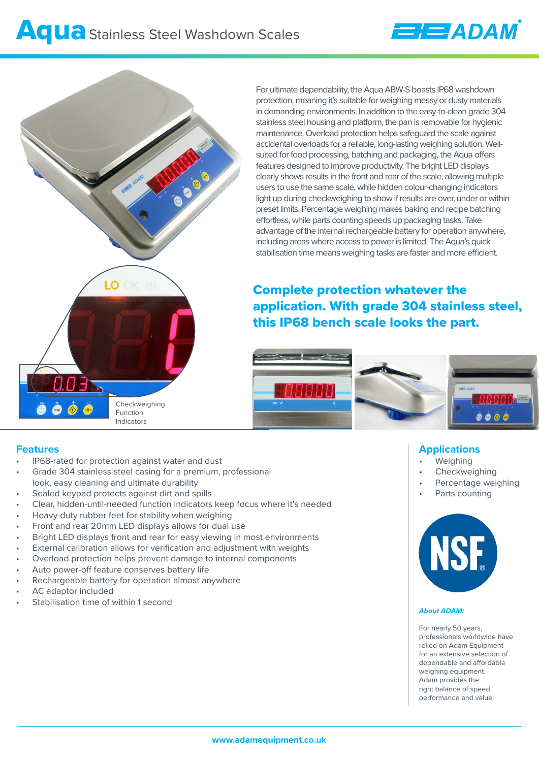



For ultimate dependability, the Aqua ABW-S boasts IP68 washdown protection, meaning it's suitable for weighing messy or dusty materials in demanding environments. In addition to the easy-to-clean grade 304 stainless steel housing and platform, the pan is removable for hygienic maintenance. Overload protection helps safeguard the scale against accidental overloads for a reliable, long-lasting weighing solution. Wellsuited for food processing, batching and packaging, the Aqua offers features designed to improve productivity. The bright LED displays clearly shows results in the front and rear of the scale, allowing multiple users to use the same scale, while hidden colour-changing indicators light up during checkweighing to show if results are over, under or within preset limits. Percentage weighing makes baking and recipe batching effortless, while parts counting speeds up packaging tasks. Take advantage of the internal rechargeable battery for operation anywhere, including areas where access to power is limited. The Aqua's quick stabilisation time means weighing tasks are faster and more efficient.

# Complete protection whatever the application. With grade 304 stainless steel, this IP68 bench scale looks the part.



### **Features**

- IP68-rated for protection against water and dust
- Grade 304 stainless steel casing for a premium, professional look, easy cleaning and ultimate durability
- Sealed keypad protects against dirt and spills
- Clear, hidden-until-needed function indicators keep focus where it's needed
- Heavy-duty rubber feet for stability when weighing
- Front and rear 20mm LED displays allows for dual use
- Bright LED displays front and rear for easy viewing in most environments
- External calibration allows for verification and adjustment with weights
- Overload protection helps prevent damage to internal components
- Auto power-off feature conserves battery life
- Rechargeable battery for operation almost anywhere
- AC adaptor included
- Stabilisation time of within 1 second

# **Applications**

- **Weighing**
- **Checkweighing**
- Percentage weighing
- Parts counting



#### *About ADAM:*

For nearly 50 years, professionals worldwide have relied on Adam Equipment for an extensive selection of dependable and affordable weighing equipment. Adam provides the right balance of speed, performance and value.